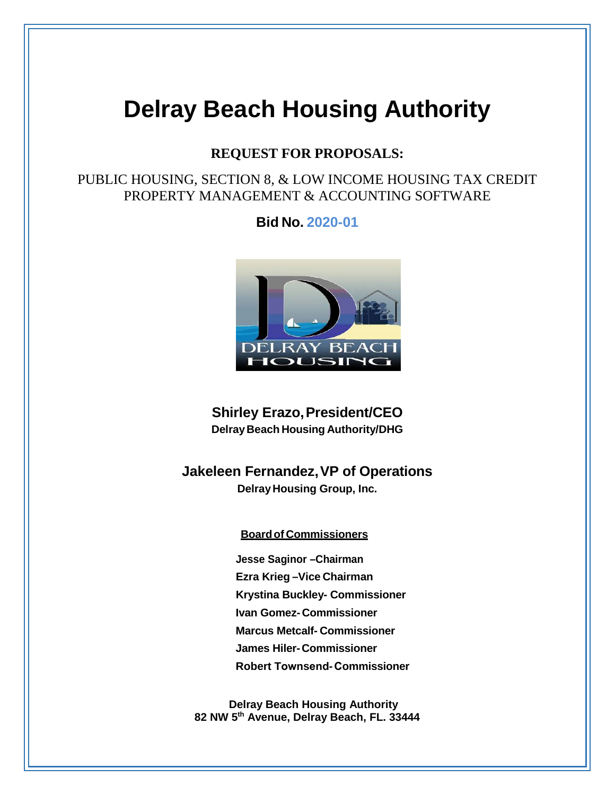# **Delray Beach Housing Authority**

### **REQUEST FOR PROPOSALS:**

### PUBLIC HOUSING, SECTION 8, & LOW INCOME HOUSING TAX CREDIT PROPERTY MANAGEMENT & ACCOUNTING SOFTWARE

**Bid No. 2020-01**



**Shirley Erazo, President/CEO DelrayBeach Housing Authority/DHG**

**Jakeleen Fernandez, VP of Operations DelrayHousing Group, Inc.**

#### **Boardof Commissioners**

**Jesse Saginor –Chairman Ezra Krieg –Vice Chairman Krystina Buckley- Commissioner Ivan Gomez- Commissioner Marcus Metcalf- Commissioner James Hiler- Commissioner Robert Townsend- Commissioner**

 **Delray Beach Housing Authority 82 NW 5th Avenue, Delray Beach, FL. 33444**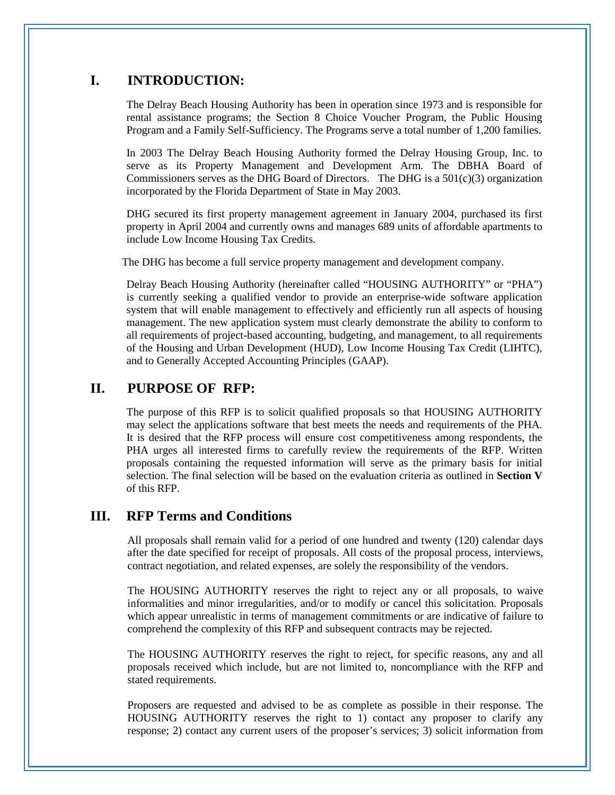### **I. INTRODUCTION:**

The Delray Beach Housing Authority has been in operation since 1973 and is responsible for rental assistance programs; the Section 8 Choice Voucher Program, the Public Housing Program and a Family Self-Sufficiency. The Programs serve a total number of 1,200 families.

In 2003 The Delray Beach Housing Authority formed the Delray Housing Group, Inc. to serve as its Property Management and Development Arm. The DBHA Board of Commissioners serves as the DHG Board of Directors. The DHG is a  $501(c)(3)$  organization incorporated by the Florida Department of State in May 2003.

DHG secured its first property management agreement in January 2004, purchased its first property in April 2004 and currently owns and manages 689 units of affordable apartments to include Low Income Housing Tax Credits.

The DHG has become a full service property management and development company.

Delray Beach Housing Authority (hereinafter called "HOUSING AUTHORITY" or "PHA") is currently seeking a qualified vendor to provide an enterprise-wide software application system that will enable management to effectively and efficiently run all aspects of housing management. The new application system must clearly demonstrate the ability to conform to all requirements of project-based accounting, budgeting, and management, to all requirements of the Housing and Urban Development (HUD), Low Income Housing Tax Credit (LIHTC), and to Generally Accepted Accounting Principles (GAAP).

### **II. PURPOSE OF RFP:**

The purpose of this RFP is to solicit qualified proposals so that HOUSING AUTHORITY may select the applications software that best meets the needs and requirements of the PHA. It is desired that the RFP process will ensure cost competitiveness among respondents, the PHA urges all interested firms to carefully review the requirements of the RFP. Written proposals containing the requested information will serve as the primary basis for initial selection. The final selection will be based on the evaluation criteria as outlined in **Section V** of this RFP.

### **III. RFP Terms and Conditions**

All proposals shall remain valid for a period of one hundred and twenty (120) calendar days after the date specified for receipt of proposals. All costs of the proposal process, interviews, contract negotiation, and related expenses, are solely the responsibility of the vendors.

The HOUSING AUTHORITY reserves the right to reject any or all proposals, to waive informalities and minor irregularities, and/or to modify or cancel this solicitation. Proposals which appear unrealistic in terms of management commitments or are indicative of failure to comprehend the complexity of this RFP and subsequent contracts may be rejected.

The HOUSING AUTHORITY reserves the right to reject, for specific reasons, any and all proposals received which include, but are not limited to, noncompliance with the RFP and stated requirements.

Proposers are requested and advised to be as complete as possible in their response. The HOUSING AUTHORITY reserves the right to 1) contact any proposer to clarify any response; 2) contact any current users of the proposer's services; 3) solicit information from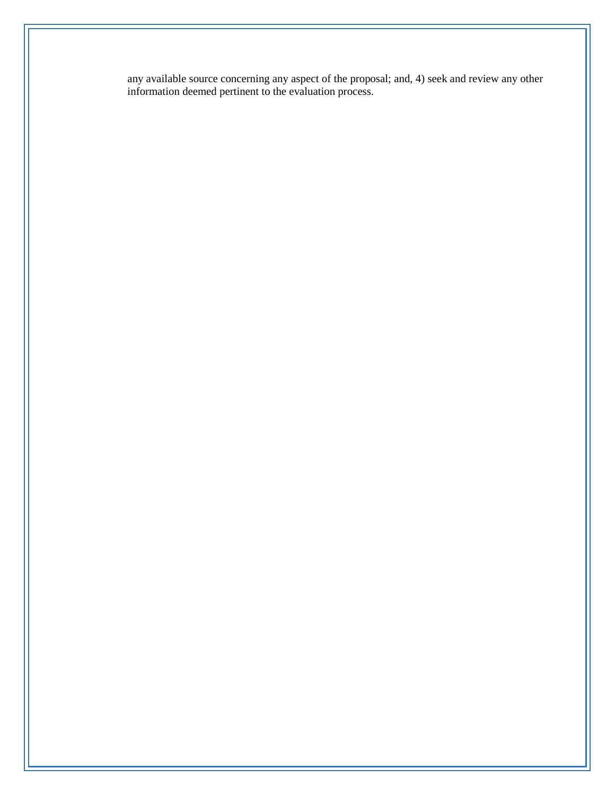any available source concerning any aspect of the proposal; and, 4) seek and review any other information deemed pertinent to the evaluation process.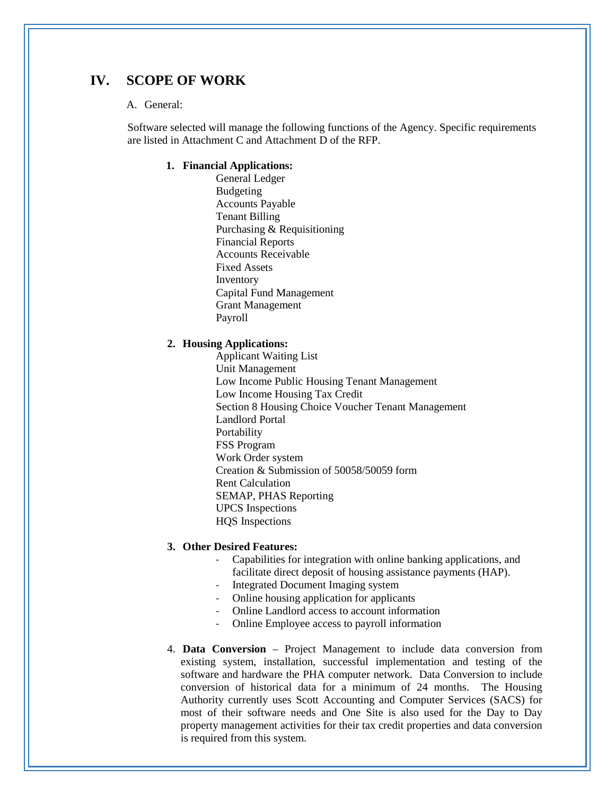### **IV. SCOPE OF WORK**

#### A. General:

Software selected will manage the following functions of the Agency. Specific requirements are listed in Attachment C and Attachment D of the RFP.

#### **1. Financial Applications:**

General Ledger Budgeting Accounts Payable Tenant Billing Purchasing & Requisitioning Financial Reports Accounts Receivable Fixed Assets Inventory Capital Fund Management Grant Management Payroll

#### **2. Housing Applications:**

Applicant Waiting List Unit Management Low Income Public Housing Tenant Management Low Income Housing Tax Credit Section 8 Housing Choice Voucher Tenant Management Landlord Portal Portability FSS Program Work Order system Creation & Submission of 50058/50059 form Rent Calculation SEMAP, PHAS Reporting UPCS Inspections HQS Inspections

#### **3. Other Desired Features:**

- Capabilities for integration with online banking applications, and facilitate direct deposit of housing assistance payments (HAP).
- Integrated Document Imaging system
- Online housing application for applicants
- Online Landlord access to account information
- Online Employee access to payroll information
- 4. **Data Conversion** Project Management to include data conversion from existing system, installation, successful implementation and testing of the software and hardware the PHA computer network. Data Conversion to include conversion of historical data for a minimum of 24 months. The Housing Authority currently uses Scott Accounting and Computer Services (SACS) for most of their software needs and One Site is also used for the Day to Day property management activities for their tax credit properties and data conversion is required from this system.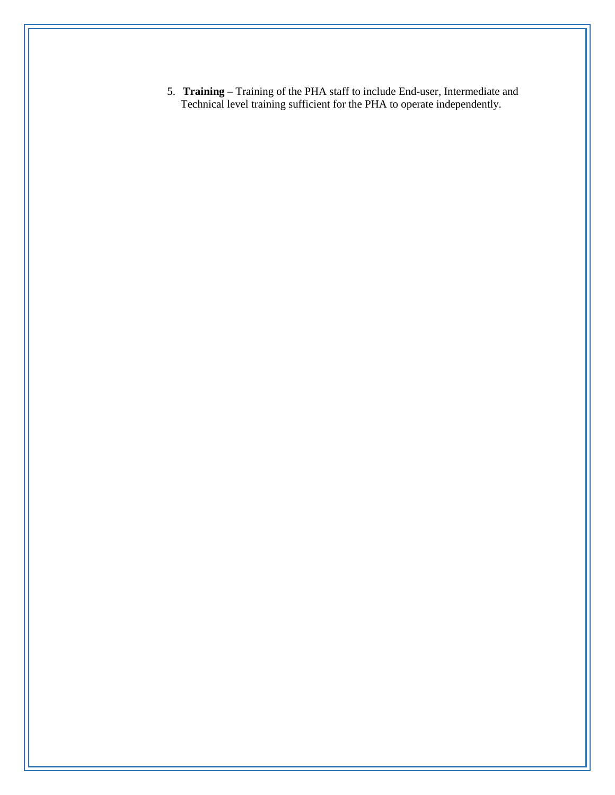5. **Training** – Training of the PHA staff to include End-user, Intermediate and Technical level training sufficient for the PHA to operate independently.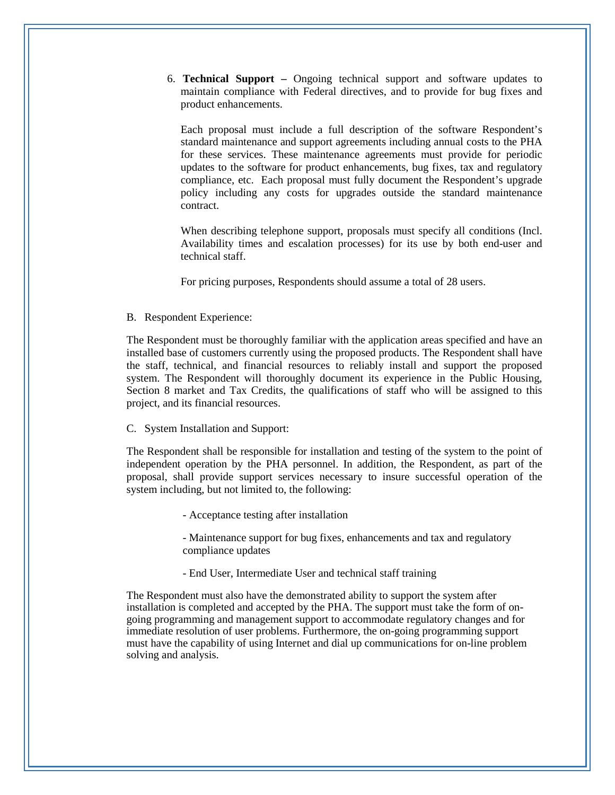6. **Technical Support –** Ongoing technical support and software updates to maintain compliance with Federal directives, and to provide for bug fixes and product enhancements.

Each proposal must include a full description of the software Respondent's standard maintenance and support agreements including annual costs to the PHA for these services. These maintenance agreements must provide for periodic updates to the software for product enhancements, bug fixes, tax and regulatory compliance, etc. Each proposal must fully document the Respondent's upgrade policy including any costs for upgrades outside the standard maintenance contract.

When describing telephone support, proposals must specify all conditions (Incl. Availability times and escalation processes) for its use by both end-user and technical staff.

For pricing purposes, Respondents should assume a total of 28 users.

B. Respondent Experience:

The Respondent must be thoroughly familiar with the application areas specified and have an installed base of customers currently using the proposed products. The Respondent shall have the staff, technical, and financial resources to reliably install and support the proposed system. The Respondent will thoroughly document its experience in the Public Housing, Section 8 market and Tax Credits, the qualifications of staff who will be assigned to this project, and its financial resources.

#### C. System Installation and Support:

The Respondent shall be responsible for installation and testing of the system to the point of independent operation by the PHA personnel. In addition, the Respondent, as part of the proposal, shall provide support services necessary to insure successful operation of the system including, but not limited to, the following:

- Acceptance testing after installation

- Maintenance support for bug fixes, enhancements and tax and regulatory compliance updates

- End User, Intermediate User and technical staff training

The Respondent must also have the demonstrated ability to support the system after installation is completed and accepted by the PHA. The support must take the form of ongoing programming and management support to accommodate regulatory changes and for immediate resolution of user problems. Furthermore, the on-going programming support must have the capability of using Internet and dial up communications for on-line problem solving and analysis.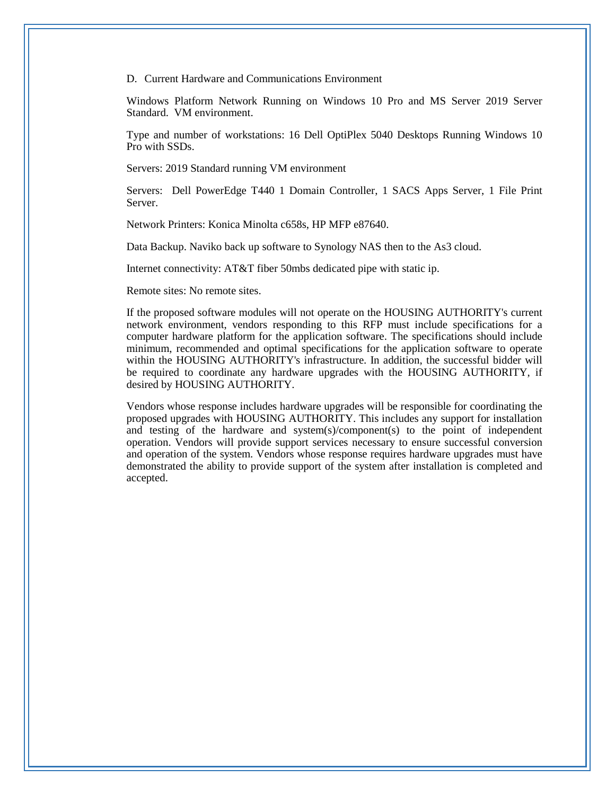D. Current Hardware and Communications Environment

Windows Platform Network Running on Windows 10 Pro and MS Server 2019 Server Standard. VM environment.

Type and number of workstations: 16 Dell OptiPlex 5040 Desktops Running Windows 10 Pro with SSDs.

Servers: 2019 Standard running VM environment

Servers: Dell PowerEdge T440 1 Domain Controller, 1 SACS Apps Server, 1 File Print Server.

Network Printers: Konica Minolta c658s, HP MFP e87640.

Data Backup. Naviko back up software to Synology NAS then to the As3 cloud.

Internet connectivity: AT&T fiber 50mbs dedicated pipe with static ip.

Remote sites: No remote sites.

If the proposed software modules will not operate on the HOUSING AUTHORITY's current network environment, vendors responding to this RFP must include specifications for a computer hardware platform for the application software. The specifications should include minimum, recommended and optimal specifications for the application software to operate within the HOUSING AUTHORITY's infrastructure. In addition, the successful bidder will be required to coordinate any hardware upgrades with the HOUSING AUTHORITY, if desired by HOUSING AUTHORITY.

Vendors whose response includes hardware upgrades will be responsible for coordinating the proposed upgrades with HOUSING AUTHORITY. This includes any support for installation and testing of the hardware and system(s)/component(s) to the point of independent operation. Vendors will provide support services necessary to ensure successful conversion and operation of the system. Vendors whose response requires hardware upgrades must have demonstrated the ability to provide support of the system after installation is completed and accepted.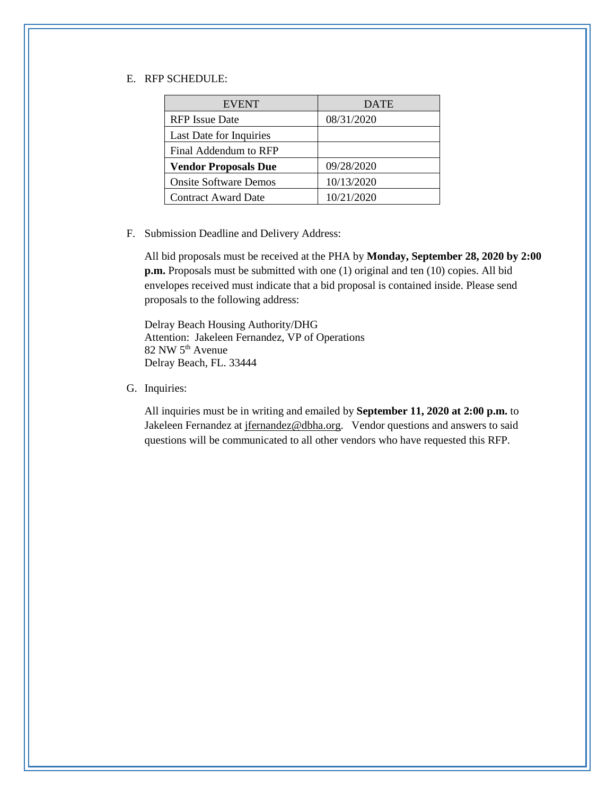#### E. RFP SCHEDULE:

| <b>EVENT</b>                 | <b>DATE</b> |
|------------------------------|-------------|
| <b>RFP</b> Issue Date        | 08/31/2020  |
| Last Date for Inquiries      |             |
| Final Addendum to RFP        |             |
| <b>Vendor Proposals Due</b>  | 09/28/2020  |
| <b>Onsite Software Demos</b> | 10/13/2020  |
| <b>Contract Award Date</b>   | 10/21/2020  |

F. Submission Deadline and Delivery Address:

All bid proposals must be received at the PHA by **Monday, September 28, 2020 by 2:00 p.m.** Proposals must be submitted with one (1) original and ten (10) copies. All bid envelopes received must indicate that a bid proposal is contained inside. Please send proposals to the following address:

Delray Beach Housing Authority/DHG Attention: Jakeleen Fernandez, VP of Operations 82 NW 5th Avenue Delray Beach, FL. 33444

G. Inquiries:

All inquiries must be in writing and emailed by **September 11, 2020 at 2:00 p.m.** to Jakeleen Fernandez at [jfernandez@dbha.org.](mailto:jfernandez@dbha.org) Vendor questions and answers to said questions will be communicated to all other vendors who have requested this RFP.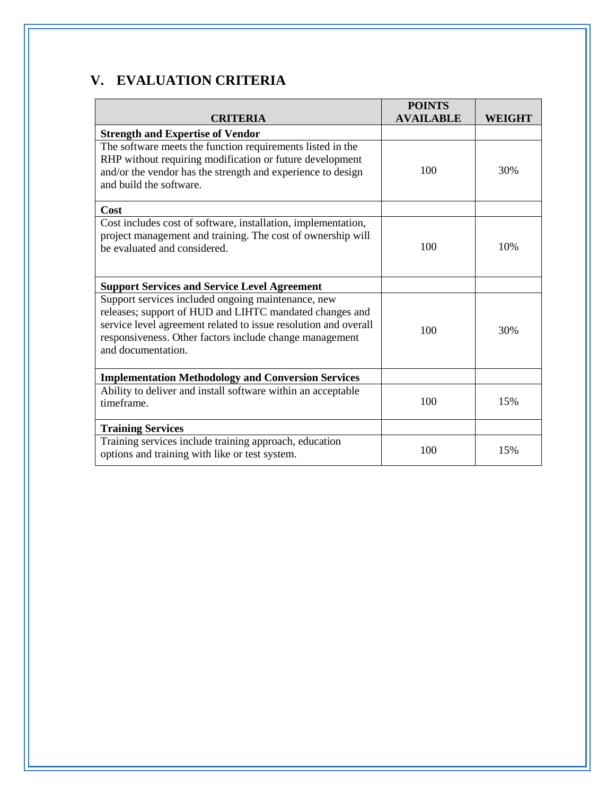# **V. EVALUATION CRITERIA**

| <b>CRITERIA</b>                                                                                                                                                                                                                                                   | <b>POINTS</b><br><b>AVAILABLE</b> | WEIGHT |
|-------------------------------------------------------------------------------------------------------------------------------------------------------------------------------------------------------------------------------------------------------------------|-----------------------------------|--------|
| <b>Strength and Expertise of Vendor</b>                                                                                                                                                                                                                           |                                   |        |
| The software meets the function requirements listed in the<br>RHP without requiring modification or future development<br>and/or the vendor has the strength and experience to design<br>and build the software.                                                  | 100                               | 30%    |
| Cost                                                                                                                                                                                                                                                              |                                   |        |
| Cost includes cost of software, installation, implementation,<br>project management and training. The cost of ownership will<br>be evaluated and considered.                                                                                                      | 100                               | 10%    |
| <b>Support Services and Service Level Agreement</b>                                                                                                                                                                                                               |                                   |        |
| Support services included ongoing maintenance, new<br>releases; support of HUD and LIHTC mandated changes and<br>service level agreement related to issue resolution and overall<br>responsiveness. Other factors include change management<br>and documentation. | 100                               | 30%    |
| <b>Implementation Methodology and Conversion Services</b>                                                                                                                                                                                                         |                                   |        |
| Ability to deliver and install software within an acceptable<br>timeframe.                                                                                                                                                                                        | 100                               | 15%    |
| <b>Training Services</b>                                                                                                                                                                                                                                          |                                   |        |
| Training services include training approach, education<br>options and training with like or test system.                                                                                                                                                          | 100                               | 15%    |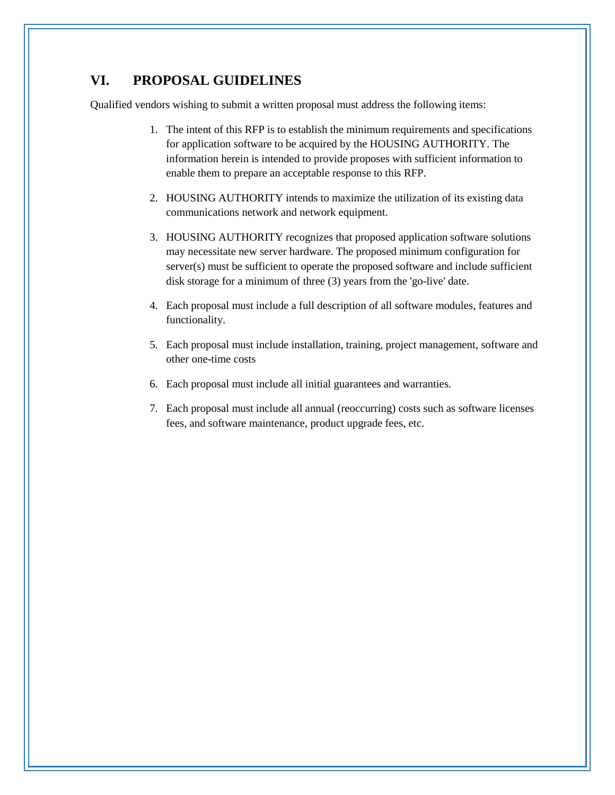### **VI. PROPOSAL GUIDELINES**

Qualified vendors wishing to submit a written proposal must address the following items:

- 1. The intent of this RFP is to establish the minimum requirements and specifications for application software to be acquired by the HOUSING AUTHORITY. The information herein is intended to provide proposes with sufficient information to enable them to prepare an acceptable response to this RFP.
- 2. HOUSING AUTHORITY intends to maximize the utilization of its existing data communications network and network equipment.
- 3. HOUSING AUTHORITY recognizes that proposed application software solutions may necessitate new server hardware. The proposed minimum configuration for server(s) must be sufficient to operate the proposed software and include sufficient disk storage for a minimum of three (3) years from the 'go-live' date.
- 4. Each proposal must include a full description of all software modules, features and functionality.
- 5. Each proposal must include installation, training, project management, software and other one-time costs
- 6. Each proposal must include all initial guarantees and warranties.
- 7. Each proposal must include all annual (reoccurring) costs such as software licenses fees, and software maintenance, product upgrade fees, etc.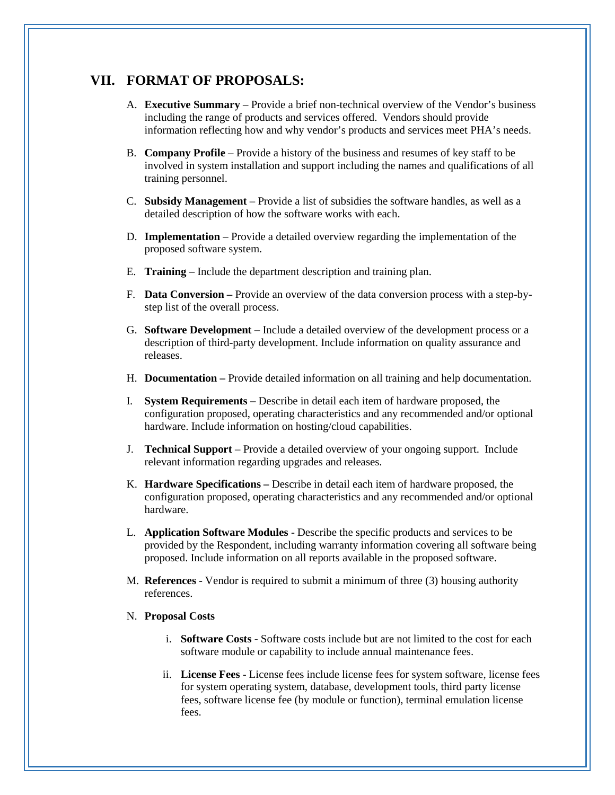### **VII. FORMAT OF PROPOSALS:**

- A. **Executive Summary** Provide a brief non-technical overview of the Vendor's business including the range of products and services offered. Vendors should provide information reflecting how and why vendor's products and services meet PHA's needs.
- B. **Company Profile** Provide a history of the business and resumes of key staff to be involved in system installation and support including the names and qualifications of all training personnel.
- C. **Subsidy Management**  Provide a list of subsidies the software handles, as well as a detailed description of how the software works with each.
- D. **Implementation** Provide a detailed overview regarding the implementation of the proposed software system.
- E. **Training**  Include the department description and training plan.
- F. **Data Conversion –** Provide an overview of the data conversion process with a step-bystep list of the overall process.
- G. **Software Development –** Include a detailed overview of the development process or a description of third-party development. Include information on quality assurance and releases.
- H. **Documentation –** Provide detailed information on all training and help documentation.
- I. **System Requirements –** Describe in detail each item of hardware proposed, the configuration proposed, operating characteristics and any recommended and/or optional hardware. Include information on hosting/cloud capabilities.
- J. **Technical Support** Provide a detailed overview of your ongoing support. Include relevant information regarding upgrades and releases.
- K. **Hardware Specifications –** Describe in detail each item of hardware proposed, the configuration proposed, operating characteristics and any recommended and/or optional hardware.
- L. **Application Software Modules** Describe the specific products and services to be provided by the Respondent, including warranty information covering all software being proposed. Include information on all reports available in the proposed software.
- M. **References** Vendor is required to submit a minimum of three (3) housing authority references.

#### N. **Proposal Costs**

- i. **Software Costs -** Software costs include but are not limited to the cost for each software module or capability to include annual maintenance fees.
- ii. **License Fees** License fees include license fees for system software, license fees for system operating system, database, development tools, third party license fees, software license fee (by module or function), terminal emulation license fees.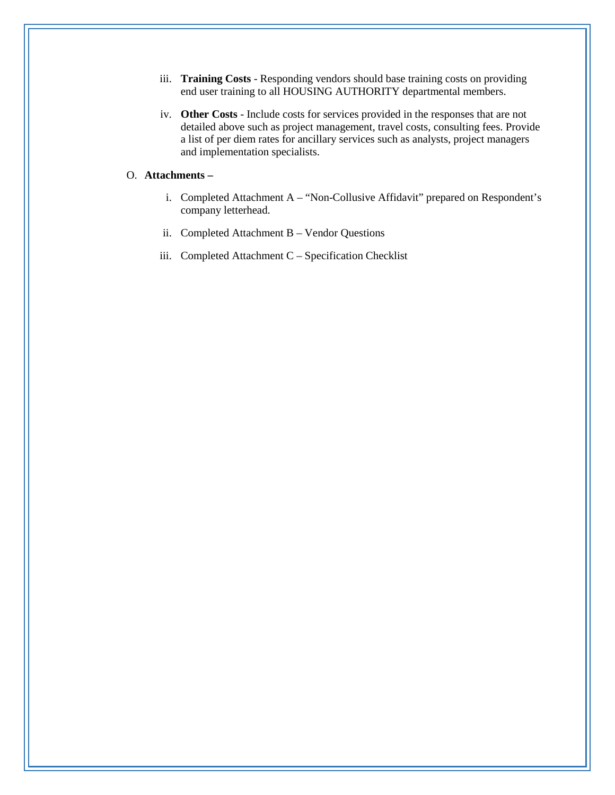- iii. **Training Costs** Responding vendors should base training costs on providing end user training to all HOUSING AUTHORITY departmental members.
- iv. **Other Costs** Include costs for services provided in the responses that are not detailed above such as project management, travel costs, consulting fees. Provide a list of per diem rates for ancillary services such as analysts, project managers and implementation specialists.

#### O. **Attachments –**

- i. Completed Attachment A "Non-Collusive Affidavit" prepared on Respondent's company letterhead.
- ii. Completed Attachment B Vendor Questions
- iii. Completed Attachment C Specification Checklist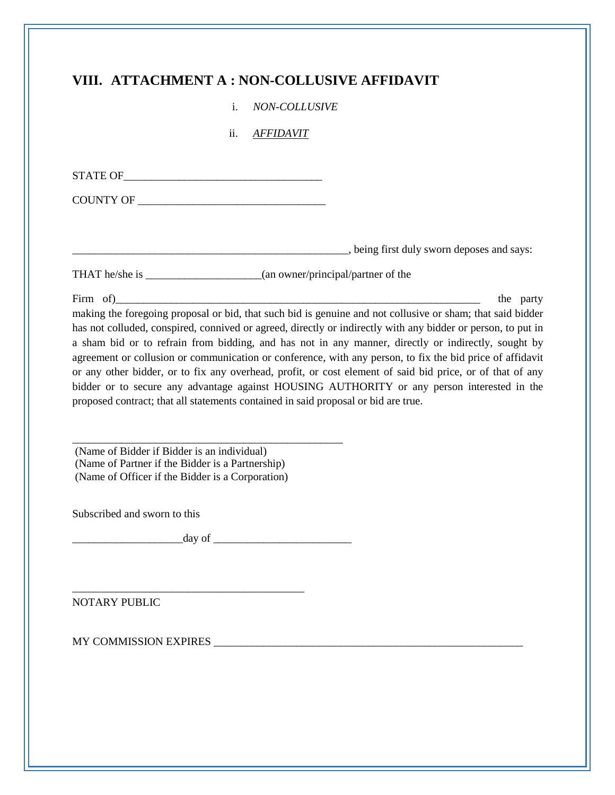## **VIII. ATTACHMENT A : NON-COLLUSIVE AFFIDAVIT**

i. *NON-COLLUSIVE* 

ii. *AFFIDAVIT* 

| <b>STATE OF</b> |  |  |  |
|-----------------|--|--|--|
|                 |  |  |  |

COUNTY OF

\_\_\_\_\_\_\_\_\_\_\_\_\_\_\_\_\_\_\_\_\_\_\_\_\_\_\_\_\_\_\_\_\_\_\_\_\_\_\_\_\_\_\_\_\_\_\_\_\_\_, being first duly sworn deposes and says:

THAT he/she is \_\_\_\_\_\_\_\_\_\_\_\_\_\_\_\_\_\_\_\_\_(an owner/principal/partner of the

Firm of the party the party of  $\mathcal{L}$ making the foregoing proposal or bid, that such bid is genuine and not collusive or sham; that said bidder has not colluded, conspired, connived or agreed, directly or indirectly with any bidder or person, to put in a sham bid or to refrain from bidding, and has not in any manner, directly or indirectly, sought by agreement or collusion or communication or conference, with any person, to fix the bid price of affidavit or any other bidder, or to fix any overhead, profit, or cost element of said bid price, or of that of any bidder or to secure any advantage against HOUSING AUTHORITY or any person interested in the proposed contract; that all statements contained in said proposal or bid are true.

\_\_\_\_\_\_\_\_\_\_\_\_\_\_\_\_\_\_\_\_\_\_\_\_\_\_\_\_\_\_\_\_\_\_\_\_\_\_\_\_\_\_\_\_\_\_\_\_\_ (Name of Bidder if Bidder is an individual) (Name of Partner if the Bidder is a Partnership) (Name of Officer if the Bidder is a Corporation)

Subscribed and sworn to this

 $\frac{day \text{ of } \_$ 

\_\_\_\_\_\_\_\_\_\_\_\_\_\_\_\_\_\_\_\_\_\_\_\_\_\_\_\_\_\_\_\_\_\_\_\_\_\_\_\_\_\_

NOTARY PUBLIC

MY COMMISSION EXPIRES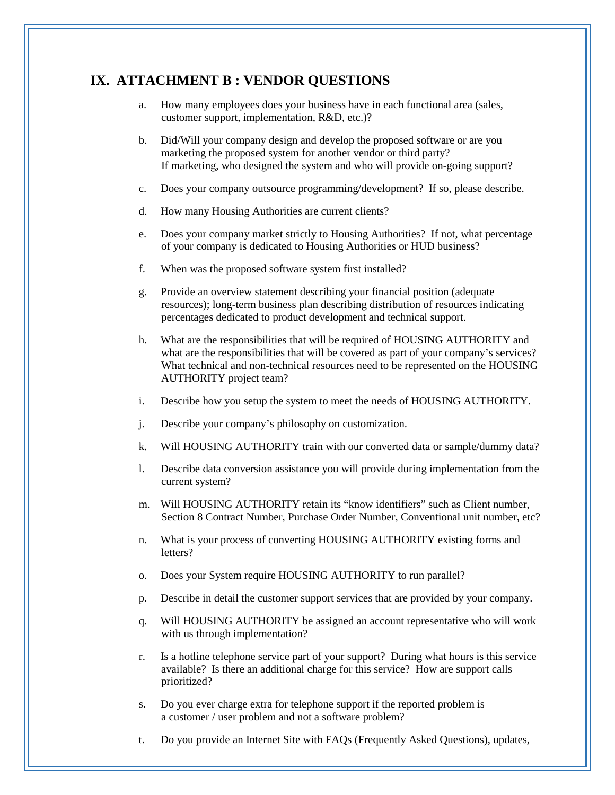### **IX. ATTACHMENT B : VENDOR QUESTIONS**

- a. How many employees does your business have in each functional area (sales, customer support, implementation, R&D, etc.)?
- b. Did/Will your company design and develop the proposed software or are you marketing the proposed system for another vendor or third party? If marketing, who designed the system and who will provide on-going support?
- c. Does your company outsource programming/development? If so, please describe.
- d. How many Housing Authorities are current clients?
- e. Does your company market strictly to Housing Authorities? If not, what percentage of your company is dedicated to Housing Authorities or HUD business?
- f. When was the proposed software system first installed?
- g. Provide an overview statement describing your financial position (adequate resources); long-term business plan describing distribution of resources indicating percentages dedicated to product development and technical support.
- h. What are the responsibilities that will be required of HOUSING AUTHORITY and what are the responsibilities that will be covered as part of your company's services? What technical and non-technical resources need to be represented on the HOUSING AUTHORITY project team?
- i. Describe how you setup the system to meet the needs of HOUSING AUTHORITY.
- j. Describe your company's philosophy on customization.
- k. Will HOUSING AUTHORITY train with our converted data or sample/dummy data?
- l. Describe data conversion assistance you will provide during implementation from the current system?
- m. Will HOUSING AUTHORITY retain its "know identifiers" such as Client number, Section 8 Contract Number, Purchase Order Number, Conventional unit number, etc?
- n. What is your process of converting HOUSING AUTHORITY existing forms and letters?
- o. Does your System require HOUSING AUTHORITY to run parallel?
- p. Describe in detail the customer support services that are provided by your company.
- q. Will HOUSING AUTHORITY be assigned an account representative who will work with us through implementation?
- r. Is a hotline telephone service part of your support? During what hours is this service available? Is there an additional charge for this service? How are support calls prioritized?
- s. Do you ever charge extra for telephone support if the reported problem is a customer / user problem and not a software problem?
- t. Do you provide an Internet Site with FAQs (Frequently Asked Questions), updates,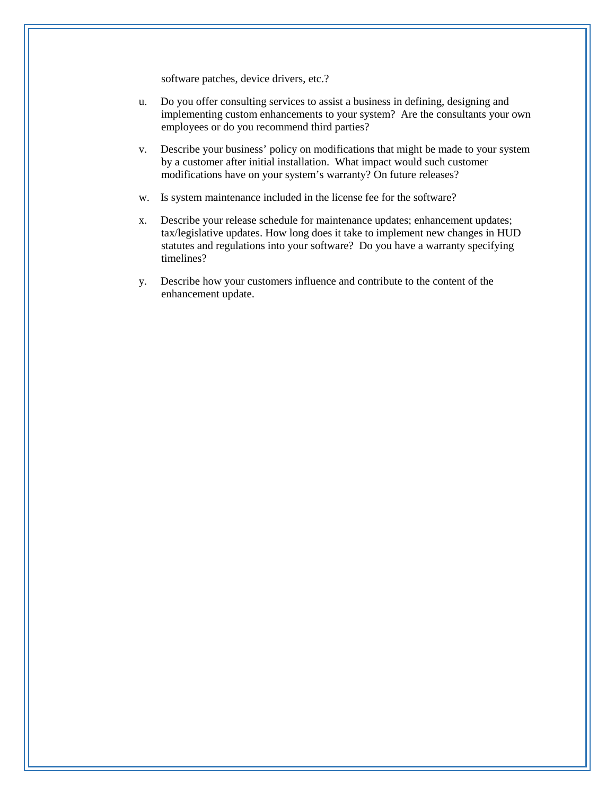software patches, device drivers, etc.?

- u. Do you offer consulting services to assist a business in defining, designing and implementing custom enhancements to your system? Are the consultants your own employees or do you recommend third parties?
- v. Describe your business' policy on modifications that might be made to your system by a customer after initial installation. What impact would such customer modifications have on your system's warranty? On future releases?
- w. Is system maintenance included in the license fee for the software?
- x. Describe your release schedule for maintenance updates; enhancement updates; tax/legislative updates. How long does it take to implement new changes in HUD statutes and regulations into your software? Do you have a warranty specifying timelines?
- y. Describe how your customers influence and contribute to the content of the enhancement update.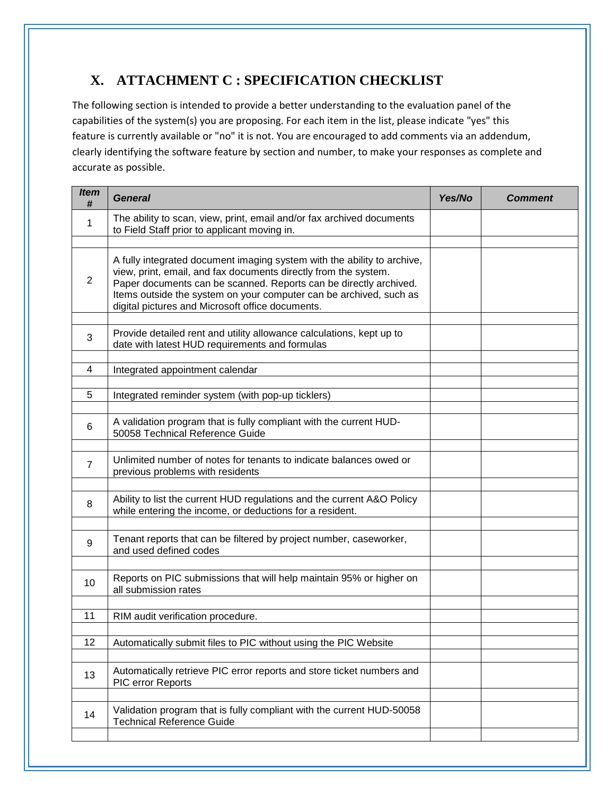# **X. ATTACHMENT C : SPECIFICATION CHECKLIST**

The following section is intended to provide a better understanding to the evaluation panel of the capabilities of the system(s) you are proposing. For each item in the list, please indicate "yes" this feature is currently available or "no" it is not. You are encouraged to add comments via an addendum, clearly identifying the software feature by section and number, to make your responses as complete and accurate as possible.

| <i>Item</i><br># | <b>General</b>                                                                                                                                                                                                                                                                                                                            | Yes/No | <b>Comment</b> |
|------------------|-------------------------------------------------------------------------------------------------------------------------------------------------------------------------------------------------------------------------------------------------------------------------------------------------------------------------------------------|--------|----------------|
| 1                | The ability to scan, view, print, email and/or fax archived documents<br>to Field Staff prior to applicant moving in.                                                                                                                                                                                                                     |        |                |
|                  |                                                                                                                                                                                                                                                                                                                                           |        |                |
| $\overline{2}$   | A fully integrated document imaging system with the ability to archive,<br>view, print, email, and fax documents directly from the system.<br>Paper documents can be scanned. Reports can be directly archived.<br>Items outside the system on your computer can be archived, such as<br>digital pictures and Microsoft office documents. |        |                |
| 3                | Provide detailed rent and utility allowance calculations, kept up to<br>date with latest HUD requirements and formulas                                                                                                                                                                                                                    |        |                |
| 4                | Integrated appointment calendar                                                                                                                                                                                                                                                                                                           |        |                |
| 5                | Integrated reminder system (with pop-up ticklers)                                                                                                                                                                                                                                                                                         |        |                |
| 6                | A validation program that is fully compliant with the current HUD-<br>50058 Technical Reference Guide                                                                                                                                                                                                                                     |        |                |
| $\overline{7}$   | Unlimited number of notes for tenants to indicate balances owed or<br>previous problems with residents                                                                                                                                                                                                                                    |        |                |
| 8                | Ability to list the current HUD regulations and the current A&O Policy<br>while entering the income, or deductions for a resident.                                                                                                                                                                                                        |        |                |
| 9                | Tenant reports that can be filtered by project number, caseworker,<br>and used defined codes                                                                                                                                                                                                                                              |        |                |
| 10               | Reports on PIC submissions that will help maintain 95% or higher on<br>all submission rates                                                                                                                                                                                                                                               |        |                |
| 11               | RIM audit verification procedure.                                                                                                                                                                                                                                                                                                         |        |                |
|                  |                                                                                                                                                                                                                                                                                                                                           |        |                |
| 12               | Automatically submit files to PIC without using the PIC Website                                                                                                                                                                                                                                                                           |        |                |
| 13               | Automatically retrieve PIC error reports and store ticket numbers and<br>PIC error Reports                                                                                                                                                                                                                                                |        |                |
| 14               | Validation program that is fully compliant with the current HUD-50058<br><b>Technical Reference Guide</b>                                                                                                                                                                                                                                 |        |                |
|                  |                                                                                                                                                                                                                                                                                                                                           |        |                |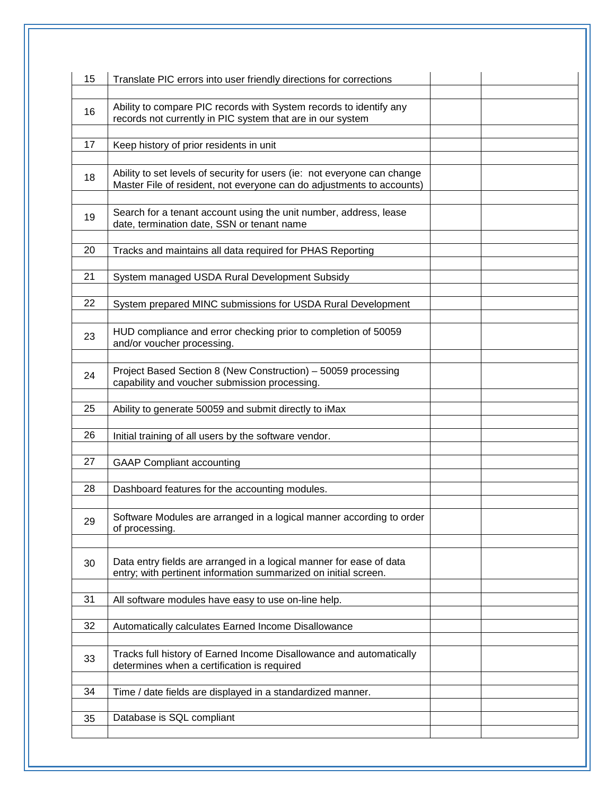| 15 | Translate PIC errors into user friendly directions for corrections                                                                                |  |
|----|---------------------------------------------------------------------------------------------------------------------------------------------------|--|
| 16 | Ability to compare PIC records with System records to identify any<br>records not currently in PIC system that are in our system                  |  |
| 17 | Keep history of prior residents in unit                                                                                                           |  |
| 18 | Ability to set levels of security for users (ie: not everyone can change<br>Master File of resident, not everyone can do adjustments to accounts) |  |
| 19 | Search for a tenant account using the unit number, address, lease<br>date, termination date, SSN or tenant name                                   |  |
| 20 | Tracks and maintains all data required for PHAS Reporting                                                                                         |  |
| 21 | System managed USDA Rural Development Subsidy                                                                                                     |  |
| 22 | System prepared MINC submissions for USDA Rural Development                                                                                       |  |
| 23 | HUD compliance and error checking prior to completion of 50059<br>and/or voucher processing.                                                      |  |
| 24 | Project Based Section 8 (New Construction) - 50059 processing<br>capability and voucher submission processing.                                    |  |
| 25 | Ability to generate 50059 and submit directly to iMax                                                                                             |  |
| 26 | Initial training of all users by the software vendor.                                                                                             |  |
| 27 | <b>GAAP Compliant accounting</b>                                                                                                                  |  |
| 28 | Dashboard features for the accounting modules.                                                                                                    |  |
| 29 | Software Modules are arranged in a logical manner according to order<br>of processing.                                                            |  |
| 30 | Data entry fields are arranged in a logical manner for ease of data<br>entry; with pertinent information summarized on initial screen.            |  |
| 31 | All software modules have easy to use on-line help.                                                                                               |  |
| 32 | Automatically calculates Earned Income Disallowance                                                                                               |  |
| 33 | Tracks full history of Earned Income Disallowance and automatically<br>determines when a certification is required                                |  |
| 34 | Time / date fields are displayed in a standardized manner.                                                                                        |  |
| 35 | Database is SQL compliant                                                                                                                         |  |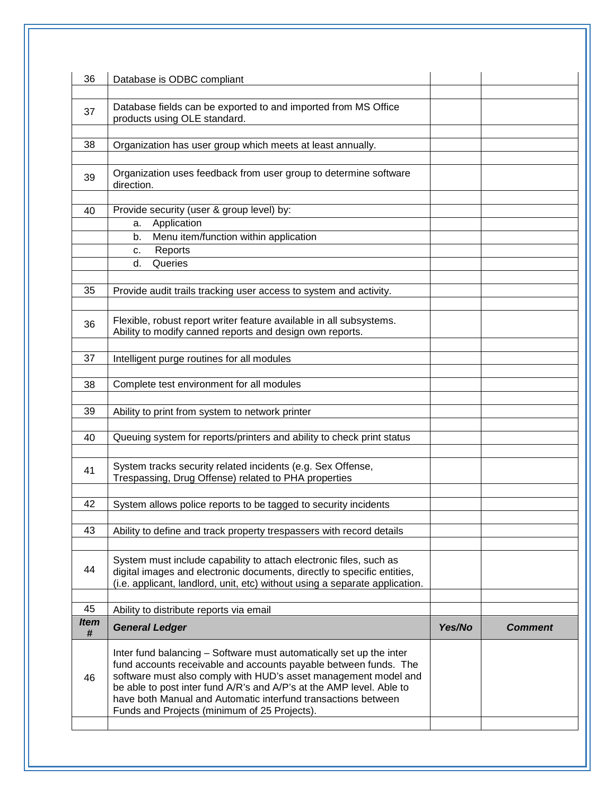| 36               | Database is ODBC compliant                                                                                                                                                                                                                                                                                                                                                                          |        |                |
|------------------|-----------------------------------------------------------------------------------------------------------------------------------------------------------------------------------------------------------------------------------------------------------------------------------------------------------------------------------------------------------------------------------------------------|--------|----------------|
| 37               | Database fields can be exported to and imported from MS Office<br>products using OLE standard.                                                                                                                                                                                                                                                                                                      |        |                |
| 38               | Organization has user group which meets at least annually.                                                                                                                                                                                                                                                                                                                                          |        |                |
| 39               | Organization uses feedback from user group to determine software<br>direction.                                                                                                                                                                                                                                                                                                                      |        |                |
| 40               | Provide security (user & group level) by:                                                                                                                                                                                                                                                                                                                                                           |        |                |
|                  | Application<br>а.                                                                                                                                                                                                                                                                                                                                                                                   |        |                |
|                  | Menu item/function within application<br>b.                                                                                                                                                                                                                                                                                                                                                         |        |                |
|                  | Reports<br>c.                                                                                                                                                                                                                                                                                                                                                                                       |        |                |
|                  | Queries<br>d.                                                                                                                                                                                                                                                                                                                                                                                       |        |                |
| 35               | Provide audit trails tracking user access to system and activity.                                                                                                                                                                                                                                                                                                                                   |        |                |
| 36               | Flexible, robust report writer feature available in all subsystems.<br>Ability to modify canned reports and design own reports.                                                                                                                                                                                                                                                                     |        |                |
| 37               | Intelligent purge routines for all modules                                                                                                                                                                                                                                                                                                                                                          |        |                |
| 38               | Complete test environment for all modules                                                                                                                                                                                                                                                                                                                                                           |        |                |
| 39               | Ability to print from system to network printer                                                                                                                                                                                                                                                                                                                                                     |        |                |
| 40               | Queuing system for reports/printers and ability to check print status                                                                                                                                                                                                                                                                                                                               |        |                |
| 41               | System tracks security related incidents (e.g. Sex Offense,<br>Trespassing, Drug Offense) related to PHA properties                                                                                                                                                                                                                                                                                 |        |                |
| 42               | System allows police reports to be tagged to security incidents                                                                                                                                                                                                                                                                                                                                     |        |                |
| 43               | Ability to define and track property trespassers with record details                                                                                                                                                                                                                                                                                                                                |        |                |
| 44               | System must include capability to attach electronic files, such as<br>digital images and electronic documents, directly to specific entities,<br>(i.e. applicant, landlord, unit, etc) without using a separate application.                                                                                                                                                                        |        |                |
| 45               | Ability to distribute reports via email                                                                                                                                                                                                                                                                                                                                                             |        |                |
| <b>Item</b><br># | <b>General Ledger</b>                                                                                                                                                                                                                                                                                                                                                                               | Yes/No | <b>Comment</b> |
| 46               | Inter fund balancing - Software must automatically set up the inter<br>fund accounts receivable and accounts payable between funds. The<br>software must also comply with HUD's asset management model and<br>be able to post inter fund A/R's and A/P's at the AMP level. Able to<br>have both Manual and Automatic interfund transactions between<br>Funds and Projects (minimum of 25 Projects). |        |                |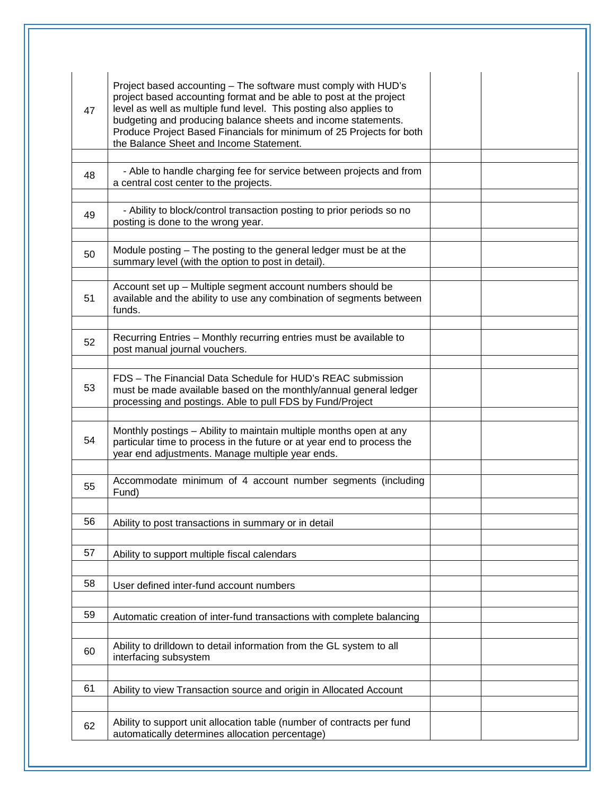| 47 | Project based accounting - The software must comply with HUD's<br>project based accounting format and be able to post at the project<br>level as well as multiple fund level. This posting also applies to<br>budgeting and producing balance sheets and income statements.<br>Produce Project Based Financials for minimum of 25 Projects for both<br>the Balance Sheet and Income Statement. |  |
|----|------------------------------------------------------------------------------------------------------------------------------------------------------------------------------------------------------------------------------------------------------------------------------------------------------------------------------------------------------------------------------------------------|--|
| 48 | - Able to handle charging fee for service between projects and from<br>a central cost center to the projects.                                                                                                                                                                                                                                                                                  |  |
| 49 | - Ability to block/control transaction posting to prior periods so no<br>posting is done to the wrong year.                                                                                                                                                                                                                                                                                    |  |
| 50 | Module posting – The posting to the general ledger must be at the<br>summary level (with the option to post in detail).                                                                                                                                                                                                                                                                        |  |
| 51 | Account set up - Multiple segment account numbers should be<br>available and the ability to use any combination of segments between<br>funds.                                                                                                                                                                                                                                                  |  |
| 52 | Recurring Entries - Monthly recurring entries must be available to<br>post manual journal vouchers.                                                                                                                                                                                                                                                                                            |  |
| 53 | FDS - The Financial Data Schedule for HUD's REAC submission<br>must be made available based on the monthly/annual general ledger<br>processing and postings. Able to pull FDS by Fund/Project                                                                                                                                                                                                  |  |
| 54 | Monthly postings - Ability to maintain multiple months open at any<br>particular time to process in the future or at year end to process the<br>year end adjustments. Manage multiple year ends.                                                                                                                                                                                               |  |
| 55 | Accommodate minimum of 4 account number segments (including<br>Fund)                                                                                                                                                                                                                                                                                                                           |  |
| 56 | Ability to post transactions in summary or in detail                                                                                                                                                                                                                                                                                                                                           |  |
| 57 | Ability to support multiple fiscal calendars                                                                                                                                                                                                                                                                                                                                                   |  |
| 58 | User defined inter-fund account numbers                                                                                                                                                                                                                                                                                                                                                        |  |
| 59 | Automatic creation of inter-fund transactions with complete balancing                                                                                                                                                                                                                                                                                                                          |  |
| 60 | Ability to drilldown to detail information from the GL system to all<br>interfacing subsystem                                                                                                                                                                                                                                                                                                  |  |
| 61 | Ability to view Transaction source and origin in Allocated Account                                                                                                                                                                                                                                                                                                                             |  |
| 62 | Ability to support unit allocation table (number of contracts per fund<br>automatically determines allocation percentage)                                                                                                                                                                                                                                                                      |  |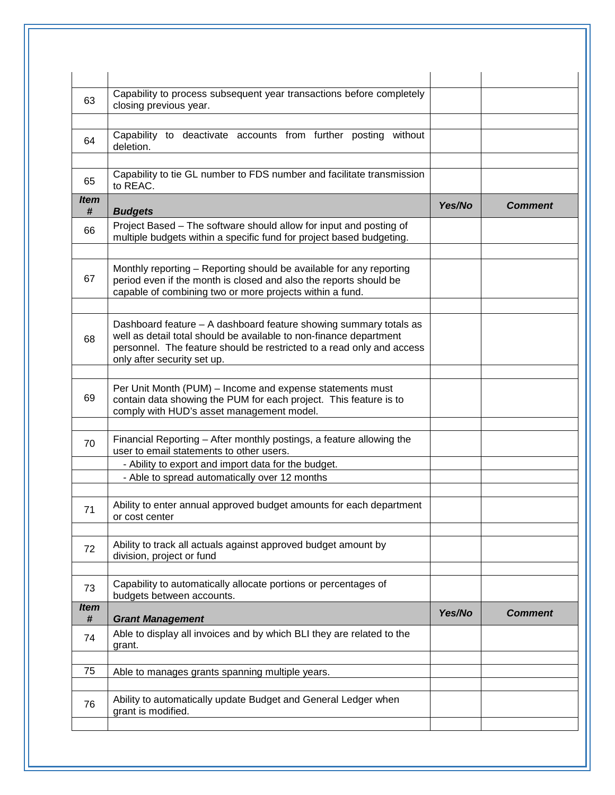| 63               | Capability to process subsequent year transactions before completely<br>closing previous year.                                                                                                                                                  |        |                |
|------------------|-------------------------------------------------------------------------------------------------------------------------------------------------------------------------------------------------------------------------------------------------|--------|----------------|
| 64               | Capability to deactivate accounts from further posting without<br>deletion.                                                                                                                                                                     |        |                |
| 65               | Capability to tie GL number to FDS number and facilitate transmission<br>to REAC.                                                                                                                                                               |        |                |
| <b>Item</b><br># | <b>Budgets</b>                                                                                                                                                                                                                                  | Yes/No | <b>Comment</b> |
| 66               | Project Based - The software should allow for input and posting of<br>multiple budgets within a specific fund for project based budgeting.                                                                                                      |        |                |
| 67               | Monthly reporting - Reporting should be available for any reporting<br>period even if the month is closed and also the reports should be<br>capable of combining two or more projects within a fund.                                            |        |                |
| 68               | Dashboard feature - A dashboard feature showing summary totals as<br>well as detail total should be available to non-finance department<br>personnel. The feature should be restricted to a read only and access<br>only after security set up. |        |                |
| 69               | Per Unit Month (PUM) – Income and expense statements must<br>contain data showing the PUM for each project. This feature is to<br>comply with HUD's asset management model.                                                                     |        |                |
| 70               | Financial Reporting - After monthly postings, a feature allowing the<br>user to email statements to other users.                                                                                                                                |        |                |
|                  | - Ability to export and import data for the budget.<br>- Able to spread automatically over 12 months                                                                                                                                            |        |                |
| 71               | Ability to enter annual approved budget amounts for each department<br>or cost center                                                                                                                                                           |        |                |
| 72               | Ability to track all actuals against approved budget amount by<br>division, project or fund                                                                                                                                                     |        |                |
| 73               | Capability to automatically allocate portions or percentages of<br>budgets between accounts.                                                                                                                                                    |        |                |
| <i>Item</i><br># | <b>Grant Management</b>                                                                                                                                                                                                                         | Yes/No | <b>Comment</b> |
| 74               | Able to display all invoices and by which BLI they are related to the<br>grant.                                                                                                                                                                 |        |                |
| 75               | Able to manages grants spanning multiple years.                                                                                                                                                                                                 |        |                |
| 76               | Ability to automatically update Budget and General Ledger when<br>grant is modified.                                                                                                                                                            |        |                |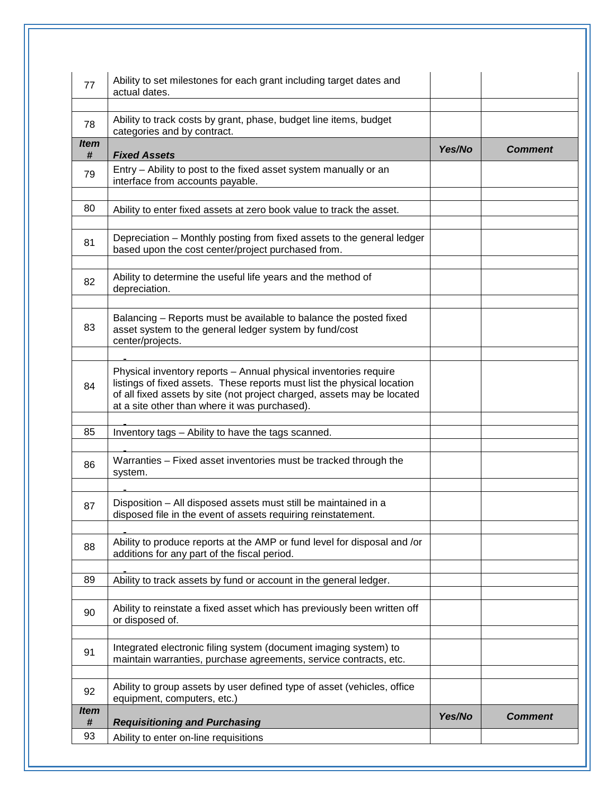| 77               | Ability to set milestones for each grant including target dates and<br>actual dates.                                                                                                                                                                                    |        |                |
|------------------|-------------------------------------------------------------------------------------------------------------------------------------------------------------------------------------------------------------------------------------------------------------------------|--------|----------------|
| 78               | Ability to track costs by grant, phase, budget line items, budget<br>categories and by contract.                                                                                                                                                                        |        |                |
| <i>Item</i><br># | <b>Fixed Assets</b>                                                                                                                                                                                                                                                     | Yes/No | <b>Comment</b> |
| 79               | Entry - Ability to post to the fixed asset system manually or an<br>interface from accounts payable.                                                                                                                                                                    |        |                |
| 80               | Ability to enter fixed assets at zero book value to track the asset.                                                                                                                                                                                                    |        |                |
| 81               | Depreciation - Monthly posting from fixed assets to the general ledger<br>based upon the cost center/project purchased from.                                                                                                                                            |        |                |
| 82               | Ability to determine the useful life years and the method of<br>depreciation.                                                                                                                                                                                           |        |                |
| 83               | Balancing - Reports must be available to balance the posted fixed<br>asset system to the general ledger system by fund/cost<br>center/projects.                                                                                                                         |        |                |
| 84               | Physical inventory reports - Annual physical inventories require<br>listings of fixed assets. These reports must list the physical location<br>of all fixed assets by site (not project charged, assets may be located<br>at a site other than where it was purchased). |        |                |
| 85               | Inventory tags - Ability to have the tags scanned.                                                                                                                                                                                                                      |        |                |
| 86               | Warranties - Fixed asset inventories must be tracked through the<br>system.                                                                                                                                                                                             |        |                |
| 87               | Disposition – All disposed assets must still be maintained in a<br>disposed file in the event of assets requiring reinstatement.                                                                                                                                        |        |                |
| 88               | Ability to produce reports at the AMP or fund level for disposal and /or<br>additions for any part of the fiscal period.                                                                                                                                                |        |                |
| 89               | Ability to track assets by fund or account in the general ledger.                                                                                                                                                                                                       |        |                |
| 90               | Ability to reinstate a fixed asset which has previously been written off<br>or disposed of.                                                                                                                                                                             |        |                |
| 91               | Integrated electronic filing system (document imaging system) to<br>maintain warranties, purchase agreements, service contracts, etc.                                                                                                                                   |        |                |
| 92               | Ability to group assets by user defined type of asset (vehicles, office<br>equipment, computers, etc.)                                                                                                                                                                  |        |                |
| <i>Item</i><br># | <b>Requisitioning and Purchasing</b>                                                                                                                                                                                                                                    | Yes/No | <b>Comment</b> |
| 93               | Ability to enter on-line requisitions                                                                                                                                                                                                                                   |        |                |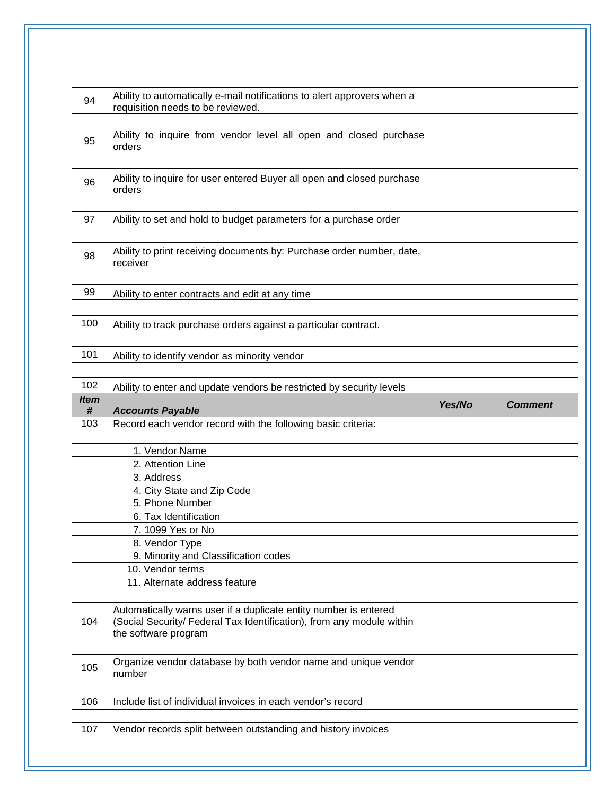| 94               | Ability to automatically e-mail notifications to alert approvers when a<br>requisition needs to be reviewed.                                                      |        |                |
|------------------|-------------------------------------------------------------------------------------------------------------------------------------------------------------------|--------|----------------|
|                  |                                                                                                                                                                   |        |                |
| 95               | Ability to inquire from vendor level all open and closed purchase<br>orders                                                                                       |        |                |
| 96               | Ability to inquire for user entered Buyer all open and closed purchase                                                                                            |        |                |
|                  | orders                                                                                                                                                            |        |                |
| 97               | Ability to set and hold to budget parameters for a purchase order                                                                                                 |        |                |
| 98               | Ability to print receiving documents by: Purchase order number, date,<br>receiver                                                                                 |        |                |
| 99               |                                                                                                                                                                   |        |                |
|                  | Ability to enter contracts and edit at any time                                                                                                                   |        |                |
| 100              | Ability to track purchase orders against a particular contract.                                                                                                   |        |                |
| 101              | Ability to identify vendor as minority vendor                                                                                                                     |        |                |
| 102              | Ability to enter and update vendors be restricted by security levels                                                                                              |        |                |
| <b>Item</b><br># | <b>Accounts Payable</b>                                                                                                                                           | Yes/No | <b>Comment</b> |
| 103              | Record each vendor record with the following basic criteria:                                                                                                      |        |                |
|                  |                                                                                                                                                                   |        |                |
|                  | 1. Vendor Name                                                                                                                                                    |        |                |
|                  | 2. Attention Line                                                                                                                                                 |        |                |
|                  | 3. Address                                                                                                                                                        |        |                |
|                  | 4. City State and Zip Code                                                                                                                                        |        |                |
|                  | 5. Phone Number                                                                                                                                                   |        |                |
|                  | 6. Tax Identification                                                                                                                                             |        |                |
|                  | 7. 1099 Yes or No                                                                                                                                                 |        |                |
|                  | 8. Vendor Type                                                                                                                                                    |        |                |
|                  | 9. Minority and Classification codes                                                                                                                              |        |                |
|                  | 10. Vendor terms                                                                                                                                                  |        |                |
|                  | 11. Alternate address feature                                                                                                                                     |        |                |
| 104              | Automatically warns user if a duplicate entity number is entered<br>(Social Security/ Federal Tax Identification), from any module within<br>the software program |        |                |
| 105              | Organize vendor database by both vendor name and unique vendor<br>number                                                                                          |        |                |
|                  |                                                                                                                                                                   |        |                |
| 106              | Include list of individual invoices in each vendor's record                                                                                                       |        |                |
| 107              | Vendor records split between outstanding and history invoices                                                                                                     |        |                |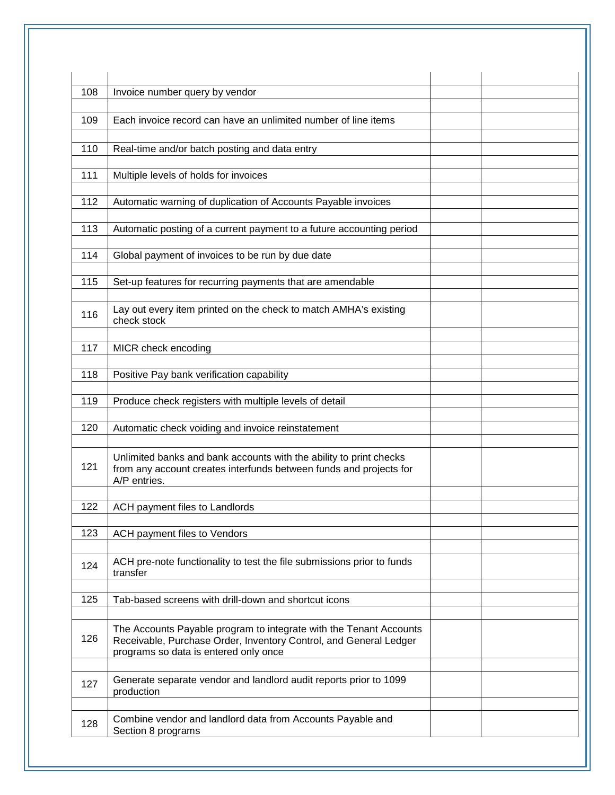| 108 | Invoice number query by vendor                                                                                                                                                   |  |
|-----|----------------------------------------------------------------------------------------------------------------------------------------------------------------------------------|--|
| 109 | Each invoice record can have an unlimited number of line items                                                                                                                   |  |
|     |                                                                                                                                                                                  |  |
| 110 | Real-time and/or batch posting and data entry                                                                                                                                    |  |
| 111 | Multiple levels of holds for invoices                                                                                                                                            |  |
|     |                                                                                                                                                                                  |  |
| 112 | Automatic warning of duplication of Accounts Payable invoices                                                                                                                    |  |
| 113 | Automatic posting of a current payment to a future accounting period                                                                                                             |  |
| 114 | Global payment of invoices to be run by due date                                                                                                                                 |  |
|     |                                                                                                                                                                                  |  |
| 115 | Set-up features for recurring payments that are amendable                                                                                                                        |  |
| 116 | Lay out every item printed on the check to match AMHA's existing<br>check stock                                                                                                  |  |
| 117 | MICR check encoding                                                                                                                                                              |  |
|     |                                                                                                                                                                                  |  |
| 118 | Positive Pay bank verification capability                                                                                                                                        |  |
| 119 | Produce check registers with multiple levels of detail                                                                                                                           |  |
| 120 | Automatic check voiding and invoice reinstatement                                                                                                                                |  |
| 121 | Unlimited banks and bank accounts with the ability to print checks<br>from any account creates interfunds between funds and projects for<br>A/P entries.                         |  |
| 122 | ACH payment files to Landlords                                                                                                                                                   |  |
| 123 |                                                                                                                                                                                  |  |
|     | ACH payment files to Vendors                                                                                                                                                     |  |
| 124 | ACH pre-note functionality to test the file submissions prior to funds<br>transfer                                                                                               |  |
| 125 | Tab-based screens with drill-down and shortcut icons                                                                                                                             |  |
| 126 | The Accounts Payable program to integrate with the Tenant Accounts<br>Receivable, Purchase Order, Inventory Control, and General Ledger<br>programs so data is entered only once |  |
| 127 | Generate separate vendor and landlord audit reports prior to 1099<br>production                                                                                                  |  |
| 128 | Combine vendor and landlord data from Accounts Payable and<br>Section 8 programs                                                                                                 |  |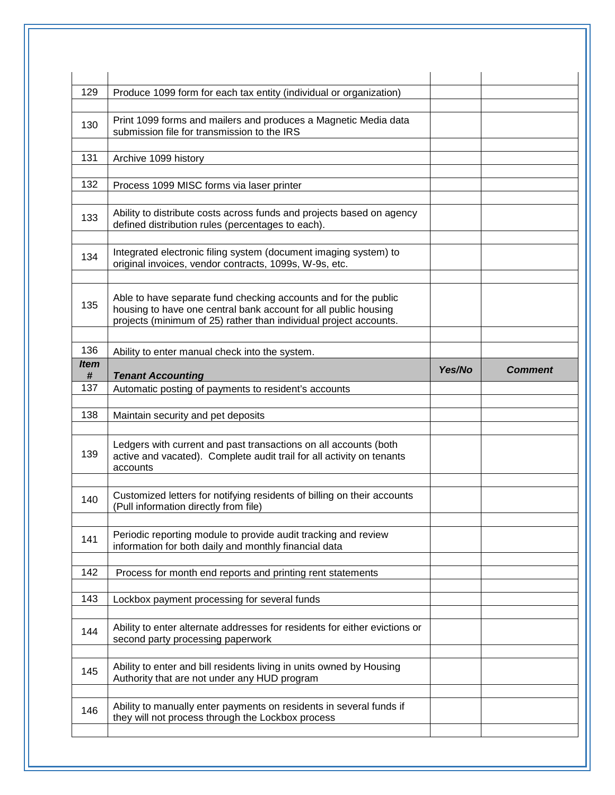| 129              | Produce 1099 form for each tax entity (individual or organization)                                                                                                                                      |        |                |
|------------------|---------------------------------------------------------------------------------------------------------------------------------------------------------------------------------------------------------|--------|----------------|
| 130              | Print 1099 forms and mailers and produces a Magnetic Media data<br>submission file for transmission to the IRS                                                                                          |        |                |
| 131              | Archive 1099 history                                                                                                                                                                                    |        |                |
| 132              | Process 1099 MISC forms via laser printer                                                                                                                                                               |        |                |
| 133              | Ability to distribute costs across funds and projects based on agency<br>defined distribution rules (percentages to each).                                                                              |        |                |
| 134              | Integrated electronic filing system (document imaging system) to<br>original invoices, vendor contracts, 1099s, W-9s, etc.                                                                              |        |                |
| 135              | Able to have separate fund checking accounts and for the public<br>housing to have one central bank account for all public housing<br>projects (minimum of 25) rather than individual project accounts. |        |                |
| 136              | Ability to enter manual check into the system.                                                                                                                                                          |        |                |
| <b>Item</b><br># | <b>Tenant Accounting</b>                                                                                                                                                                                | Yes/No | <b>Comment</b> |
| 137              | Automatic posting of payments to resident's accounts                                                                                                                                                    |        |                |
| 138              | Maintain security and pet deposits                                                                                                                                                                      |        |                |
| 139              | Ledgers with current and past transactions on all accounts (both<br>active and vacated). Complete audit trail for all activity on tenants<br>accounts                                                   |        |                |
|                  |                                                                                                                                                                                                         |        |                |
| 140              | Customized letters for notifying residents of billing on their accounts<br>(Pull information directly from file)                                                                                        |        |                |
| 141              | Periodic reporting module to provide audit tracking and review<br>information for both daily and monthly financial data                                                                                 |        |                |
| 142              | Process for month end reports and printing rent statements                                                                                                                                              |        |                |
| 143              | Lockbox payment processing for several funds                                                                                                                                                            |        |                |
| 144              | Ability to enter alternate addresses for residents for either evictions or<br>second party processing paperwork                                                                                         |        |                |
| 145              | Ability to enter and bill residents living in units owned by Housing<br>Authority that are not under any HUD program                                                                                    |        |                |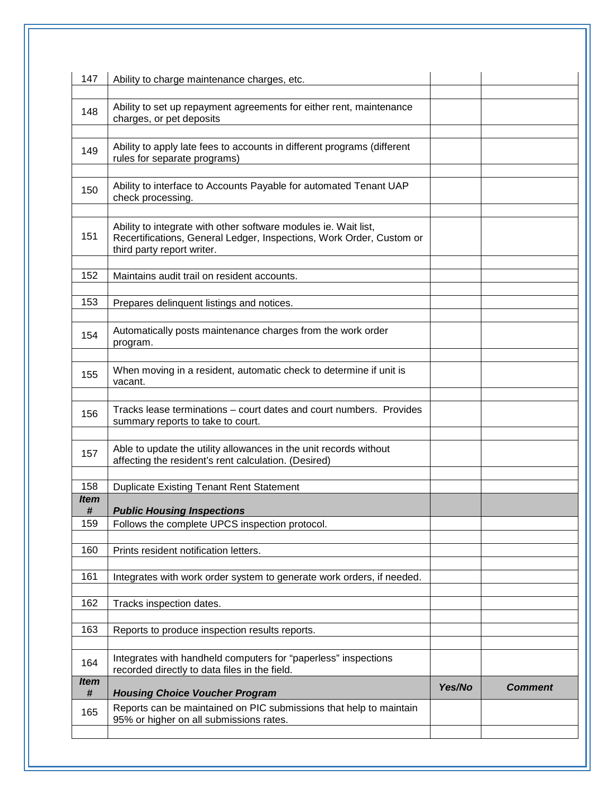| 147              | Ability to charge maintenance charges, etc.                                                                                                                           |        |                |
|------------------|-----------------------------------------------------------------------------------------------------------------------------------------------------------------------|--------|----------------|
| 148              | Ability to set up repayment agreements for either rent, maintenance<br>charges, or pet deposits                                                                       |        |                |
| 149              | Ability to apply late fees to accounts in different programs (different<br>rules for separate programs)                                                               |        |                |
| 150              | Ability to interface to Accounts Payable for automated Tenant UAP<br>check processing.                                                                                |        |                |
| 151              | Ability to integrate with other software modules ie. Wait list,<br>Recertifications, General Ledger, Inspections, Work Order, Custom or<br>third party report writer. |        |                |
| 152              | Maintains audit trail on resident accounts.                                                                                                                           |        |                |
| 153              | Prepares delinquent listings and notices.                                                                                                                             |        |                |
| 154              | Automatically posts maintenance charges from the work order<br>program.                                                                                               |        |                |
| 155              | When moving in a resident, automatic check to determine if unit is<br>vacant.                                                                                         |        |                |
| 156              | Tracks lease terminations – court dates and court numbers. Provides<br>summary reports to take to court.                                                              |        |                |
| 157              | Able to update the utility allowances in the unit records without<br>affecting the resident's rent calculation. (Desired)                                             |        |                |
| 158              | <b>Duplicate Existing Tenant Rent Statement</b>                                                                                                                       |        |                |
| Item             | <b>Public Housing Inspections</b>                                                                                                                                     |        |                |
| #<br>159         | Follows the complete UPCS inspection protocol.                                                                                                                        |        |                |
| 160              | Prints resident notification letters.                                                                                                                                 |        |                |
| 161              | Integrates with work order system to generate work orders, if needed.                                                                                                 |        |                |
| 162              | Tracks inspection dates.                                                                                                                                              |        |                |
| 163              | Reports to produce inspection results reports.                                                                                                                        |        |                |
| 164              | Integrates with handheld computers for "paperless" inspections<br>recorded directly to data files in the field.                                                       |        |                |
| <b>Item</b><br># | <b>Housing Choice Voucher Program</b>                                                                                                                                 | Yes/No | <b>Comment</b> |
| 165              | Reports can be maintained on PIC submissions that help to maintain<br>95% or higher on all submissions rates.                                                         |        |                |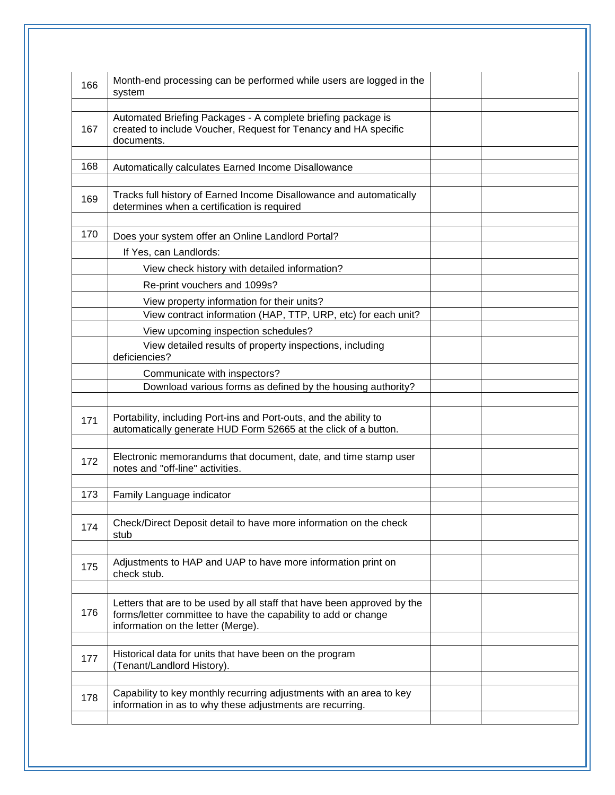| 166 | Month-end processing can be performed while users are logged in the<br>system                                                                                                   |  |
|-----|---------------------------------------------------------------------------------------------------------------------------------------------------------------------------------|--|
| 167 | Automated Briefing Packages - A complete briefing package is<br>created to include Voucher, Request for Tenancy and HA specific<br>documents.                                   |  |
| 168 | Automatically calculates Earned Income Disallowance                                                                                                                             |  |
| 169 | Tracks full history of Earned Income Disallowance and automatically<br>determines when a certification is required                                                              |  |
| 170 | Does your system offer an Online Landlord Portal?                                                                                                                               |  |
|     | If Yes, can Landlords:                                                                                                                                                          |  |
|     | View check history with detailed information?                                                                                                                                   |  |
|     | Re-print vouchers and 1099s?                                                                                                                                                    |  |
|     | View property information for their units?                                                                                                                                      |  |
|     | View contract information (HAP, TTP, URP, etc) for each unit?                                                                                                                   |  |
|     | View upcoming inspection schedules?                                                                                                                                             |  |
|     | View detailed results of property inspections, including<br>deficiencies?                                                                                                       |  |
|     | Communicate with inspectors?                                                                                                                                                    |  |
|     | Download various forms as defined by the housing authority?                                                                                                                     |  |
| 171 | Portability, including Port-ins and Port-outs, and the ability to<br>automatically generate HUD Form 52665 at the click of a button.                                            |  |
| 172 | Electronic memorandums that document, date, and time stamp user<br>notes and "off-line" activities.                                                                             |  |
| 173 | Family Language indicator                                                                                                                                                       |  |
| 174 | Check/Direct Deposit detail to have more information on the check<br>stub                                                                                                       |  |
| 175 | Adjustments to HAP and UAP to have more information print on<br>check stub.                                                                                                     |  |
| 176 | Letters that are to be used by all staff that have been approved by the<br>forms/letter committee to have the capability to add or change<br>information on the letter (Merge). |  |
| 177 | Historical data for units that have been on the program<br>(Tenant/Landlord History).                                                                                           |  |
| 178 | Capability to key monthly recurring adjustments with an area to key<br>information in as to why these adjustments are recurring.                                                |  |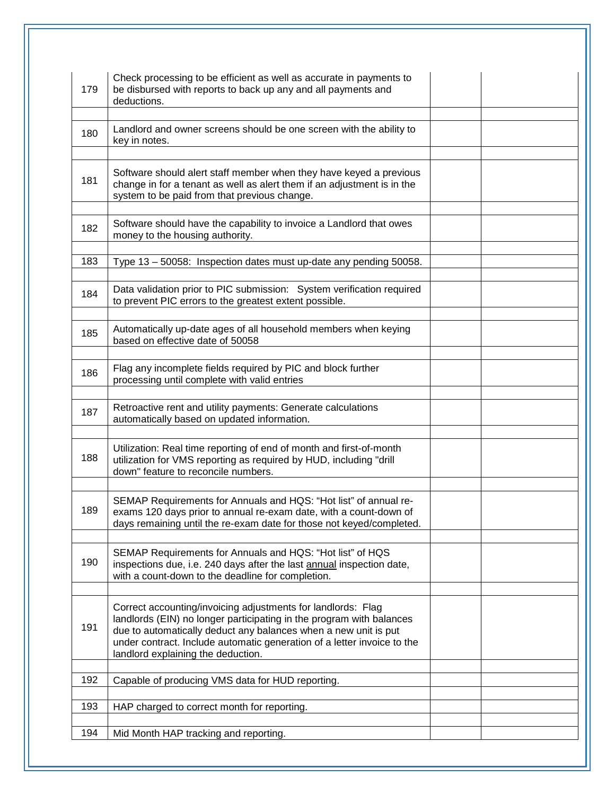| 179 | Check processing to be efficient as well as accurate in payments to<br>be disbursed with reports to back up any and all payments and<br>deductions.                                                                                                                                                                      |  |
|-----|--------------------------------------------------------------------------------------------------------------------------------------------------------------------------------------------------------------------------------------------------------------------------------------------------------------------------|--|
| 180 | Landlord and owner screens should be one screen with the ability to<br>key in notes.                                                                                                                                                                                                                                     |  |
| 181 | Software should alert staff member when they have keyed a previous<br>change in for a tenant as well as alert them if an adjustment is in the<br>system to be paid from that previous change.                                                                                                                            |  |
| 182 | Software should have the capability to invoice a Landlord that owes<br>money to the housing authority.                                                                                                                                                                                                                   |  |
| 183 | Type 13 - 50058: Inspection dates must up-date any pending 50058.                                                                                                                                                                                                                                                        |  |
| 184 | Data validation prior to PIC submission: System verification required<br>to prevent PIC errors to the greatest extent possible.                                                                                                                                                                                          |  |
| 185 | Automatically up-date ages of all household members when keying<br>based on effective date of 50058                                                                                                                                                                                                                      |  |
| 186 | Flag any incomplete fields required by PIC and block further<br>processing until complete with valid entries                                                                                                                                                                                                             |  |
| 187 | Retroactive rent and utility payments: Generate calculations<br>automatically based on updated information.                                                                                                                                                                                                              |  |
| 188 | Utilization: Real time reporting of end of month and first-of-month<br>utilization for VMS reporting as required by HUD, including "drill<br>down" feature to reconcile numbers.                                                                                                                                         |  |
| 189 | SEMAP Requirements for Annuals and HQS: "Hot list" of annual re-<br>exams 120 days prior to annual re-exam date, with a count-down of<br>days remaining until the re-exam date for those not keyed/completed.                                                                                                            |  |
| 190 | SEMAP Requirements for Annuals and HQS: "Hot list" of HQS<br>inspections due, i.e. 240 days after the last annual inspection date,<br>with a count-down to the deadline for completion.                                                                                                                                  |  |
| 191 | Correct accounting/invoicing adjustments for landlords: Flag<br>landlords (EIN) no longer participating in the program with balances<br>due to automatically deduct any balances when a new unit is put<br>under contract. Include automatic generation of a letter invoice to the<br>landlord explaining the deduction. |  |
| 192 | Capable of producing VMS data for HUD reporting.                                                                                                                                                                                                                                                                         |  |
| 193 | HAP charged to correct month for reporting.                                                                                                                                                                                                                                                                              |  |
| 194 | Mid Month HAP tracking and reporting.                                                                                                                                                                                                                                                                                    |  |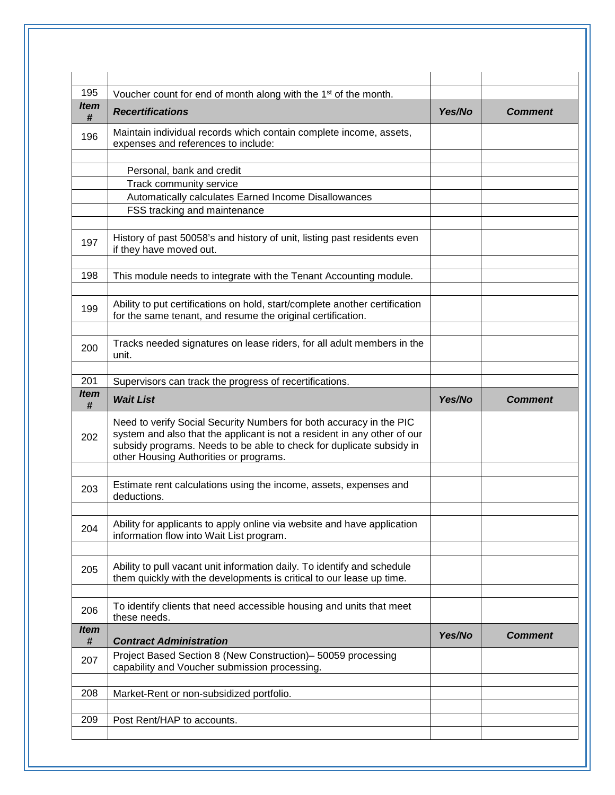| 195       | Voucher count for end of month along with the 1 <sup>st</sup> of the month.                                                                                                                                                                                       |        |                |
|-----------|-------------------------------------------------------------------------------------------------------------------------------------------------------------------------------------------------------------------------------------------------------------------|--------|----------------|
| ltem<br># | <b>Recertifications</b>                                                                                                                                                                                                                                           | Yes/No | <b>Comment</b> |
| 196       | Maintain individual records which contain complete income, assets,<br>expenses and references to include:                                                                                                                                                         |        |                |
|           | Personal, bank and credit                                                                                                                                                                                                                                         |        |                |
|           | Track community service                                                                                                                                                                                                                                           |        |                |
|           | Automatically calculates Earned Income Disallowances                                                                                                                                                                                                              |        |                |
|           | FSS tracking and maintenance                                                                                                                                                                                                                                      |        |                |
| 197       | History of past 50058's and history of unit, listing past residents even<br>if they have moved out.                                                                                                                                                               |        |                |
| 198       | This module needs to integrate with the Tenant Accounting module.                                                                                                                                                                                                 |        |                |
| 199       | Ability to put certifications on hold, start/complete another certification<br>for the same tenant, and resume the original certification.                                                                                                                        |        |                |
| 200       | Tracks needed signatures on lease riders, for all adult members in the<br>unit.                                                                                                                                                                                   |        |                |
| 201       | Supervisors can track the progress of recertifications.                                                                                                                                                                                                           |        |                |
| ltem      |                                                                                                                                                                                                                                                                   |        |                |
| #         | <b>Wait List</b>                                                                                                                                                                                                                                                  | Yes/No | Comment        |
| 202       | Need to verify Social Security Numbers for both accuracy in the PIC<br>system and also that the applicant is not a resident in any other of our<br>subsidy programs. Needs to be able to check for duplicate subsidy in<br>other Housing Authorities or programs. |        |                |
| 203       | Estimate rent calculations using the income, assets, expenses and<br>deductions.                                                                                                                                                                                  |        |                |
| 204       | Ability for applicants to apply online via website and have application<br>information flow into Wait List program.                                                                                                                                               |        |                |
| 205       | Ability to pull vacant unit information daily. To identify and schedule<br>them quickly with the developments is critical to our lease up time.                                                                                                                   |        |                |
| 206       | To identify clients that need accessible housing and units that meet<br>these needs.                                                                                                                                                                              |        |                |
| ltem<br># | <b>Contract Administration</b>                                                                                                                                                                                                                                    | Yes/No | <b>Comment</b> |
| 207       | Project Based Section 8 (New Construction)- 50059 processing<br>capability and Voucher submission processing.                                                                                                                                                     |        |                |
|           | Market-Rent or non-subsidized portfolio.                                                                                                                                                                                                                          |        |                |
| 208       |                                                                                                                                                                                                                                                                   |        |                |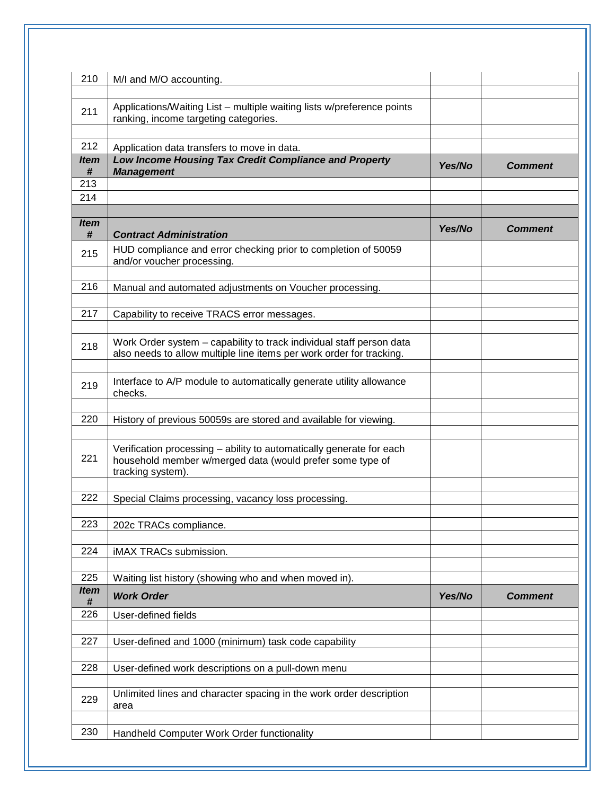| 210              | M/I and M/O accounting.                                                                                                                                |        |                |
|------------------|--------------------------------------------------------------------------------------------------------------------------------------------------------|--------|----------------|
| 211              | Applications/Waiting List - multiple waiting lists w/preference points<br>ranking, income targeting categories.                                        |        |                |
| 212              | Application data transfers to move in data.                                                                                                            |        |                |
| <i>Item</i><br># | Low Income Housing Tax Credit Compliance and Property<br><b>Management</b>                                                                             | Yes/No | Comment        |
| 213              |                                                                                                                                                        |        |                |
| 214              |                                                                                                                                                        |        |                |
| <b>Item</b><br># | <b>Contract Administration</b>                                                                                                                         | Yes/No | <b>Comment</b> |
| 215              | HUD compliance and error checking prior to completion of 50059<br>and/or voucher processing.                                                           |        |                |
| 216              | Manual and automated adjustments on Voucher processing.                                                                                                |        |                |
| 217              | Capability to receive TRACS error messages.                                                                                                            |        |                |
| 218              | Work Order system - capability to track individual staff person data<br>also needs to allow multiple line items per work order for tracking.           |        |                |
| 219              | Interface to A/P module to automatically generate utility allowance<br>checks.                                                                         |        |                |
| 220              | History of previous 50059s are stored and available for viewing.                                                                                       |        |                |
| 221              | Verification processing - ability to automatically generate for each<br>household member w/merged data (would prefer some type of<br>tracking system). |        |                |
| 222              | Special Claims processing, vacancy loss processing.                                                                                                    |        |                |
| 223              | 202c TRACs compliance.                                                                                                                                 |        |                |
| 224              | iMAX TRACs submission.                                                                                                                                 |        |                |
| 225              | Waiting list history (showing who and when moved in).                                                                                                  |        |                |
| <b>Item</b><br># | <b>Work Order</b>                                                                                                                                      | Yes/No | <b>Comment</b> |
| 226              | User-defined fields                                                                                                                                    |        |                |
| 227              | User-defined and 1000 (minimum) task code capability                                                                                                   |        |                |
| 228              | User-defined work descriptions on a pull-down menu                                                                                                     |        |                |
| 229              | Unlimited lines and character spacing in the work order description<br>area                                                                            |        |                |
| 230              | Handheld Computer Work Order functionality                                                                                                             |        |                |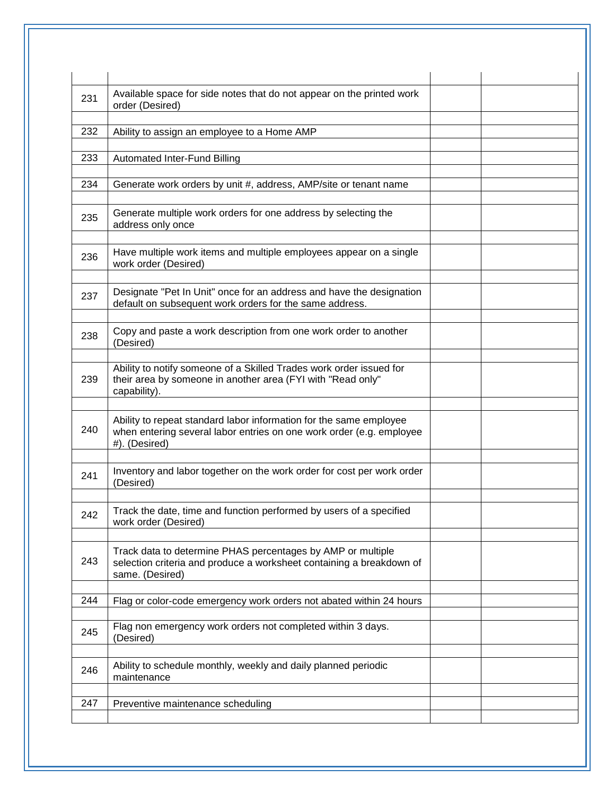| 231 | Available space for side notes that do not appear on the printed work<br>order (Desired)                                                                    |  |
|-----|-------------------------------------------------------------------------------------------------------------------------------------------------------------|--|
| 232 | Ability to assign an employee to a Home AMP                                                                                                                 |  |
| 233 | Automated Inter-Fund Billing                                                                                                                                |  |
| 234 | Generate work orders by unit #, address, AMP/site or tenant name                                                                                            |  |
| 235 | Generate multiple work orders for one address by selecting the<br>address only once                                                                         |  |
| 236 | Have multiple work items and multiple employees appear on a single<br>work order (Desired)                                                                  |  |
| 237 | Designate "Pet In Unit" once for an address and have the designation<br>default on subsequent work orders for the same address.                             |  |
| 238 | Copy and paste a work description from one work order to another<br>(Desired)                                                                               |  |
| 239 | Ability to notify someone of a Skilled Trades work order issued for<br>their area by someone in another area (FYI with "Read only"<br>capability).          |  |
| 240 | Ability to repeat standard labor information for the same employee<br>when entering several labor entries on one work order (e.g. employee<br>#). (Desired) |  |
| 241 | Inventory and labor together on the work order for cost per work order<br>(Desired)                                                                         |  |
| 242 | Track the date, time and function performed by users of a specified<br>work order (Desired)                                                                 |  |
| 243 | Track data to determine PHAS percentages by AMP or multiple<br>selection criteria and produce a worksheet containing a breakdown of<br>same. (Desired)      |  |
| 244 | Flag or color-code emergency work orders not abated within 24 hours                                                                                         |  |
| 245 | Flag non emergency work orders not completed within 3 days.<br>(Desired)                                                                                    |  |
| 246 | Ability to schedule monthly, weekly and daily planned periodic<br>maintenance                                                                               |  |
| 247 | Preventive maintenance scheduling                                                                                                                           |  |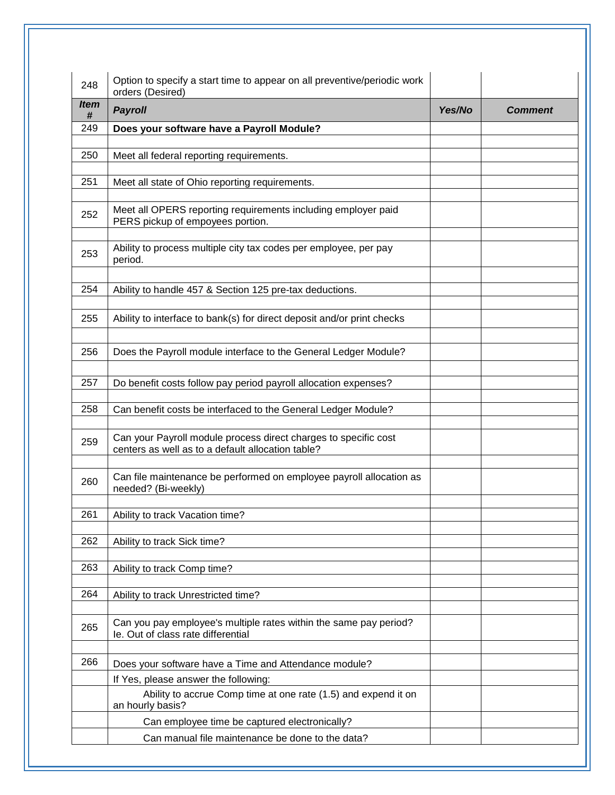| 248              | Option to specify a start time to appear on all preventive/periodic work<br>orders (Desired)                               |        |                |
|------------------|----------------------------------------------------------------------------------------------------------------------------|--------|----------------|
| <i>Item</i><br># | <b>Payroll</b>                                                                                                             | Yes/No | <b>Comment</b> |
| 249              | Does your software have a Payroll Module?                                                                                  |        |                |
| 250              | Meet all federal reporting requirements.                                                                                   |        |                |
| 251              | Meet all state of Ohio reporting requirements.                                                                             |        |                |
| 252              | Meet all OPERS reporting requirements including employer paid<br>PERS pickup of empoyees portion.                          |        |                |
| 253              | Ability to process multiple city tax codes per employee, per pay<br>period.                                                |        |                |
| 254              | Ability to handle 457 & Section 125 pre-tax deductions.                                                                    |        |                |
| 255              | Ability to interface to bank(s) for direct deposit and/or print checks                                                     |        |                |
| 256              | Does the Payroll module interface to the General Ledger Module?                                                            |        |                |
| 257              | Do benefit costs follow pay period payroll allocation expenses?                                                            |        |                |
| 258              | Can benefit costs be interfaced to the General Ledger Module?                                                              |        |                |
| 259              | Can your Payroll module process direct charges to specific cost<br>centers as well as to a default allocation table?       |        |                |
| 260              | Can file maintenance be performed on employee payroll allocation as<br>needed? (Bi-weekly)                                 |        |                |
| 261              | Ability to track Vacation time?                                                                                            |        |                |
| 262              | Ability to track Sick time?                                                                                                |        |                |
| 263              | Ability to track Comp time?                                                                                                |        |                |
| 264              | Ability to track Unrestricted time?                                                                                        |        |                |
| 265              | Can you pay employee's multiple rates within the same pay period?<br>le. Out of class rate differential                    |        |                |
| 266              | Does your software have a Time and Attendance module?                                                                      |        |                |
|                  | If Yes, please answer the following:<br>Ability to accrue Comp time at one rate (1.5) and expend it on<br>an hourly basis? |        |                |
|                  | Can employee time be captured electronically?                                                                              |        |                |
|                  | Can manual file maintenance be done to the data?                                                                           |        |                |